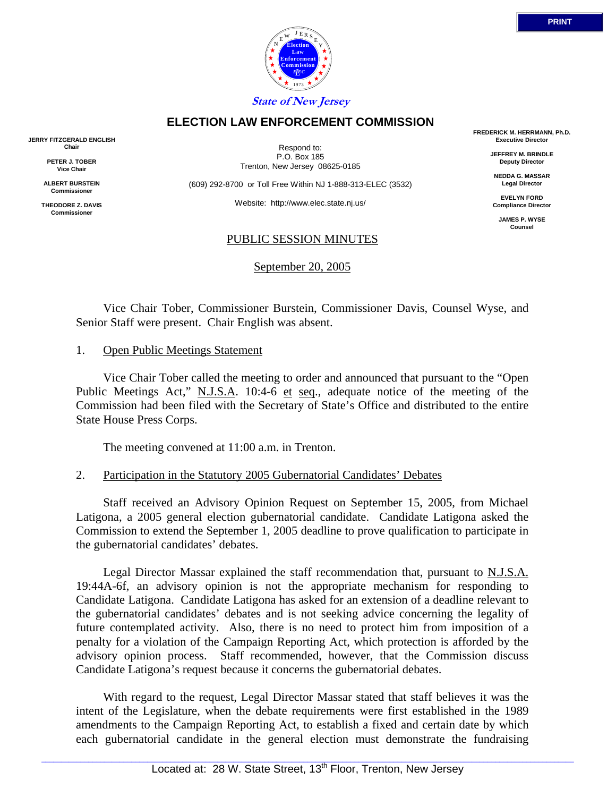

Respond to: P.O. Box 185

(609) 292-8700 or Toll Free Within NJ 1-888-313-ELEC (3532)

Website: http://www.elec.state.nj.us/

#### PUBLIC SESSION MINUTES

September 20, 2005

 Vice Chair Tober, Commissioner Burstein, Commissioner Davis, Counsel Wyse, and Senior Staff were present. Chair English was absent.

#### 1. Open Public Meetings Statement

 Vice Chair Tober called the meeting to order and announced that pursuant to the "Open Public Meetings Act," N.J.S.A. 10:4-6 et seq., adequate notice of the meeting of the Commission had been filed with the Secretary of State's Office and distributed to the entire State House Press Corps.

The meeting convened at 11:00 a.m. in Trenton.

### 2. Participation in the Statutory 2005 Gubernatorial Candidates' Debates

 Staff received an Advisory Opinion Request on September 15, 2005, from Michael Latigona, a 2005 general election gubernatorial candidate. Candidate Latigona asked the Commission to extend the September 1, 2005 deadline to prove qualification to participate in the gubernatorial candidates' debates.

 Legal Director Massar explained the staff recommendation that, pursuant to N.J.S.A. 19:44A-6f, an advisory opinion is not the appropriate mechanism for responding to Candidate Latigona. Candidate Latigona has asked for an extension of a deadline relevant to the gubernatorial candidates' debates and is not seeking advice concerning the legality of future contemplated activity. Also, there is no need to protect him from imposition of a penalty for a violation of the Campaign Reporting Act, which protection is afforded by the advisory opinion process. Staff recommended, however, that the Commission discuss Candidate Latigona's request because it concerns the gubernatorial debates.

 With regard to the request, Legal Director Massar stated that staff believes it was the intent of the Legislature, when the debate requirements were first established in the 1989 amendments to the Campaign Reporting Act, to establish a fixed and certain date by which each gubernatorial candidate in the general election must demonstrate the fundraising

**ELECTION LAW ENFORCEMENT COMMISSION**

Trenton, New Jersey 08625-0185

**FREDERICK M. HERRMANN, Ph.D. Executive Director JEFFREY M. BRINDLE**

> **Deputy Director NEDDA G. MASSAR Legal Director**

**EVELYN FORD Compliance Director**

> **JAMES P. WYSE Counsel**



**JERRY FITZGERALD ENGLISH Chair**

> **PETER J. TOBER Vice Chair**

**ALBERT BURSTEIN Commissioner**

**THEODORE Z. DAVIS Commissione**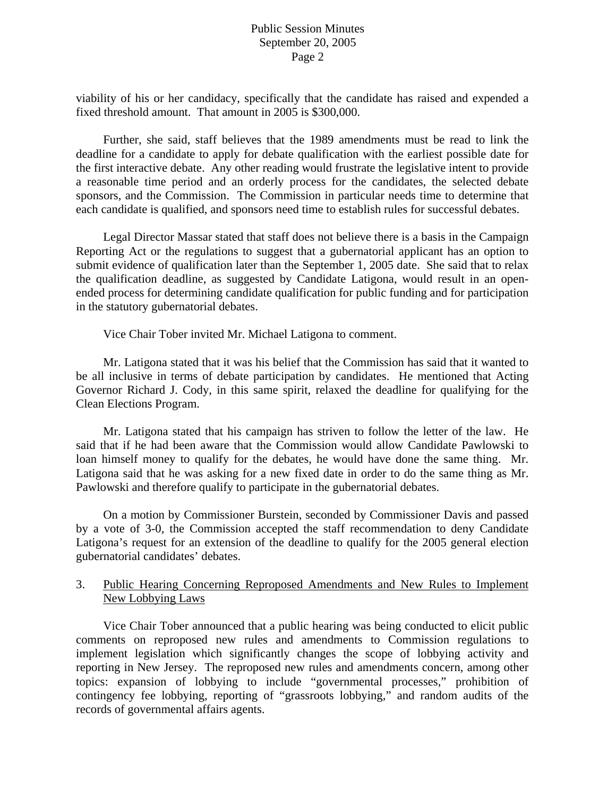viability of his or her candidacy, specifically that the candidate has raised and expended a fixed threshold amount. That amount in 2005 is \$300,000.

 Further, she said, staff believes that the 1989 amendments must be read to link the deadline for a candidate to apply for debate qualification with the earliest possible date for the first interactive debate. Any other reading would frustrate the legislative intent to provide a reasonable time period and an orderly process for the candidates, the selected debate sponsors, and the Commission. The Commission in particular needs time to determine that each candidate is qualified, and sponsors need time to establish rules for successful debates.

 Legal Director Massar stated that staff does not believe there is a basis in the Campaign Reporting Act or the regulations to suggest that a gubernatorial applicant has an option to submit evidence of qualification later than the September 1, 2005 date. She said that to relax the qualification deadline, as suggested by Candidate Latigona, would result in an openended process for determining candidate qualification for public funding and for participation in the statutory gubernatorial debates.

Vice Chair Tober invited Mr. Michael Latigona to comment.

 Mr. Latigona stated that it was his belief that the Commission has said that it wanted to be all inclusive in terms of debate participation by candidates. He mentioned that Acting Governor Richard J. Cody, in this same spirit, relaxed the deadline for qualifying for the Clean Elections Program.

 Mr. Latigona stated that his campaign has striven to follow the letter of the law. He said that if he had been aware that the Commission would allow Candidate Pawlowski to loan himself money to qualify for the debates, he would have done the same thing. Mr. Latigona said that he was asking for a new fixed date in order to do the same thing as Mr. Pawlowski and therefore qualify to participate in the gubernatorial debates.

 On a motion by Commissioner Burstein, seconded by Commissioner Davis and passed by a vote of 3-0, the Commission accepted the staff recommendation to deny Candidate Latigona's request for an extension of the deadline to qualify for the 2005 general election gubernatorial candidates' debates.

# 3. Public Hearing Concerning Reproposed Amendments and New Rules to Implement New Lobbying Laws

 Vice Chair Tober announced that a public hearing was being conducted to elicit public comments on reproposed new rules and amendments to Commission regulations to implement legislation which significantly changes the scope of lobbying activity and reporting in New Jersey. The reproposed new rules and amendments concern, among other topics: expansion of lobbying to include "governmental processes," prohibition of contingency fee lobbying, reporting of "grassroots lobbying," and random audits of the records of governmental affairs agents.